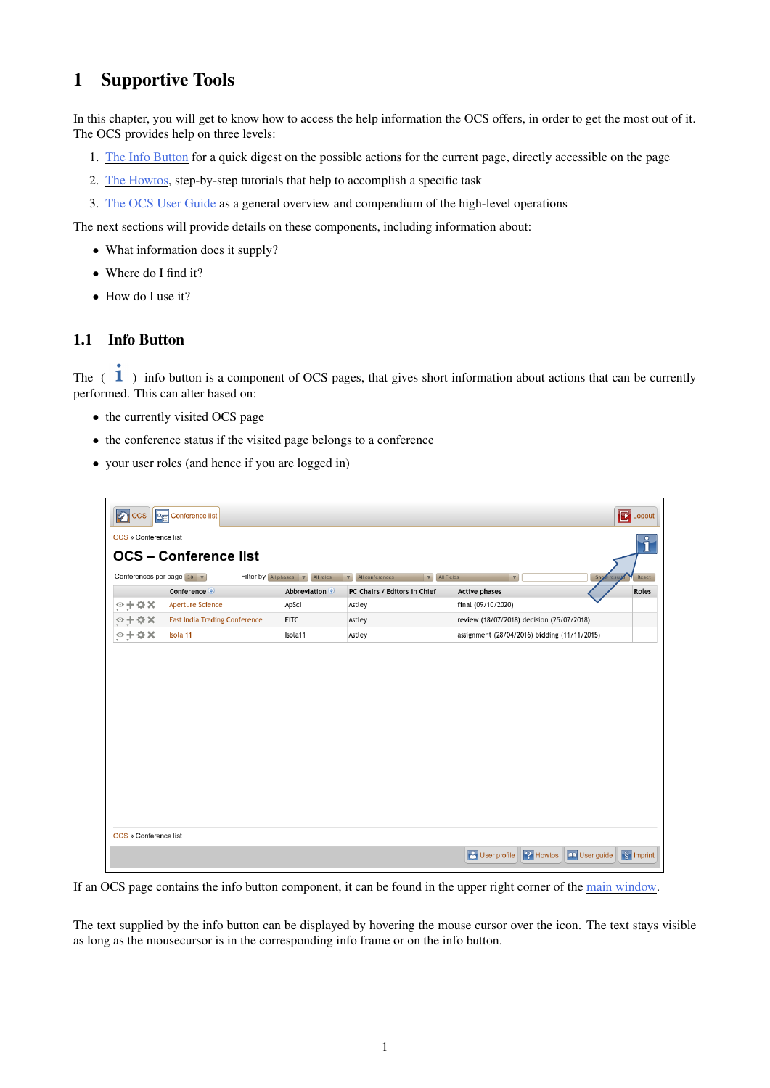## <span id="page-0-0"></span>1 Supportive Tools

In this chapter, you will get to know how to access the help information the OCS offers, in order to get the most out of it. The OCS provides help on three levels:

- 1. The Info Button for a quick digest on the possible actions for the current page, directly accessible on the page
- 2. The Howtos, step-by-step tutorials that help to accomplish a specific task
- 3. The OCS User Guide as a general overview and compendium of the high-level operations

The next sections will provide details on these components, including information about:

- What information does it supply?
- Where do I find it?
- How do I use it?

## 1.1 Info Button

The  $(1)$  info button is a component of OCS pages, that gives short information about actions that can be currently performed. This can alter based on:

- the currently visited OCS page
- the conference status if the visited page belongs to a conference
- your user roles (and hence if you are logged in)

| <sub>ocs</sub>  <br>$\mathcal{C}$<br>8. | Conference list                      |                                                |                                                |                                              |            | <b>B</b> Logout     |
|-----------------------------------------|--------------------------------------|------------------------------------------------|------------------------------------------------|----------------------------------------------|------------|---------------------|
| OCS » Conference list                   |                                      |                                                |                                                |                                              |            | $\circ$             |
|                                         | <b>OCS - Conference list</b>         |                                                |                                                |                                              |            | Ñ                   |
| Conferences per page 10 v               |                                      | Filter by All phases $\triangledown$ All roles | All conferences<br>$\nabla$<br>$\triangledown$ | All Fields<br>$\overline{\mathbf{v}}$        | Show resul | Reset               |
|                                         | Conference <sup>o</sup>              | <b>Abbreviation</b>                            | PC Chairs / Editors in Chief                   | <b>Active phases</b>                         |            | Roles               |
| $\circ + \circ \times$                  | <b>Aperture Science</b>              | ApSci                                          | Astley                                         | final (09/10/2020)                           |            |                     |
| $9 + 4x$                                | <b>East India Trading Conference</b> | <b>EITC</b>                                    | Astley                                         | review (18/07/2018) decision (25/07/2018)    |            |                     |
| $\circ + \circ \times$                  | Isola 11                             | Isola11                                        | Astley                                         | assignment (28/04/2016) bidding (11/11/2015) |            |                     |
|                                         |                                      |                                                |                                                |                                              |            |                     |
| OCS » Conference list                   |                                      |                                                |                                                |                                              |            |                     |
|                                         |                                      |                                                |                                                | <b>P</b> User profile<br><b>?</b> Howtos     | User guide | $\sqrt{\S}$ Imprint |

If an OCS page contains the info button component, it can be found in the upper right corner of the main window.

The text supplied by the info button can be displayed by hovering the mouse cursor over the icon. The text stays visible as long as the mousecursor is in the corresponding info frame or on the info button.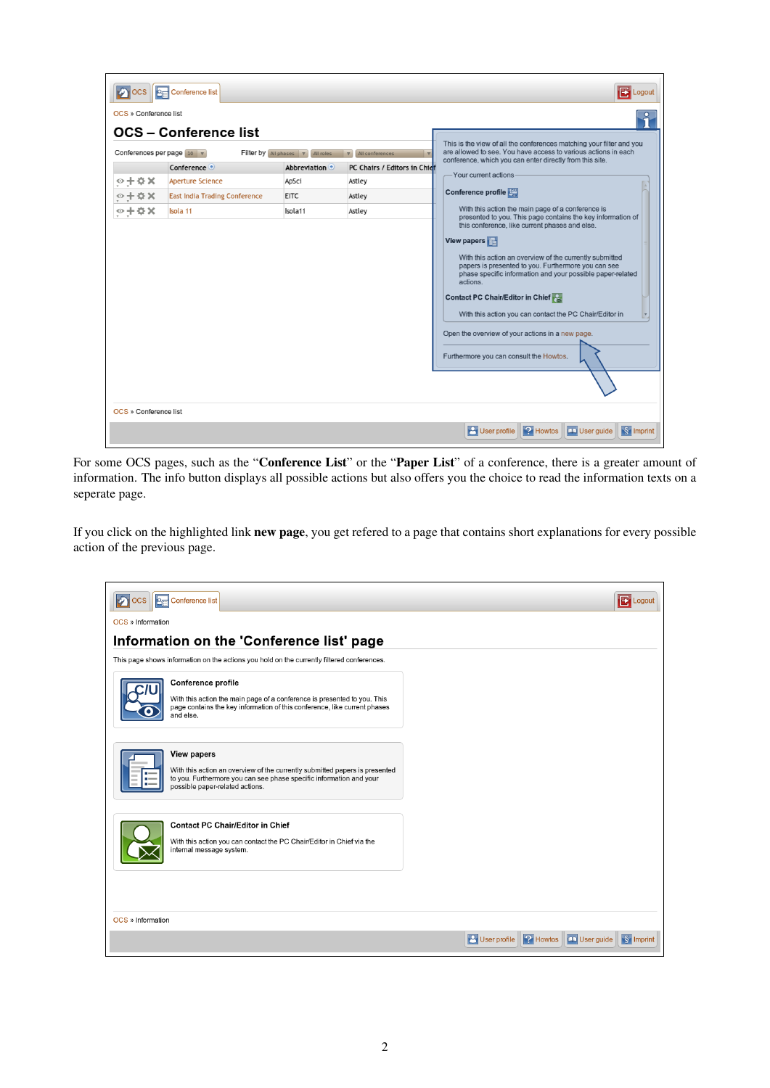| <b>E</b> Logout<br><b>OCS</b><br><b>A<sub>E</sub></b> Conference list |                                         |                                                           |                                                                                                                                                                                                          |                                                                                                                                                                                                                                                                                                                                                                                                                                                                                                                                                                             |  |  |
|-----------------------------------------------------------------------|-----------------------------------------|-----------------------------------------------------------|----------------------------------------------------------------------------------------------------------------------------------------------------------------------------------------------------------|-----------------------------------------------------------------------------------------------------------------------------------------------------------------------------------------------------------------------------------------------------------------------------------------------------------------------------------------------------------------------------------------------------------------------------------------------------------------------------------------------------------------------------------------------------------------------------|--|--|
| OCS » Conference list<br>Conferences per page $10$ $\overline{v}$     | <b>OCS</b> – Conference list            | Filter by All phases $\overline{\mathbf{v}}$<br>All roles | ົາ<br>This is the view of all the conferences matching your filter and you<br>are allowed to see. You have access to various actions in each<br>conference, which you can enter directly from this site. |                                                                                                                                                                                                                                                                                                                                                                                                                                                                                                                                                                             |  |  |
| $\circ + \circ \times$                                                | Conference ©<br><b>Aperture Science</b> | <b>Abbreviation</b><br>ApSci                              | PC Chairs / Editors in Chief<br>Astley                                                                                                                                                                   | Your current actions                                                                                                                                                                                                                                                                                                                                                                                                                                                                                                                                                        |  |  |
| $\circ + \circ x$                                                     | <b>East India Trading Conference</b>    | <b>EITC</b>                                               | Astley                                                                                                                                                                                                   | Conference profile                                                                                                                                                                                                                                                                                                                                                                                                                                                                                                                                                          |  |  |
| $\circ + \circ \times$                                                | Isola 11                                | Isola11                                                   | Astley                                                                                                                                                                                                   | With this action the main page of a conference is<br>presented to you. This page contains the key information of<br>this conference, like current phases and else.<br>View papers<br>With this action an overview of the currently submitted<br>papers is presented to you. Furthermore you can see<br>phase specific information and your possible paper-related<br>actions.<br>Contact PC Chair/Editor in Chief<br>With this action you can contact the PC Chair/Editor in<br>Open the overview of your actions in a new page.<br>Furthermore you can consult the Howtos. |  |  |
| OCS » Conference list                                                 |                                         |                                                           |                                                                                                                                                                                                          |                                                                                                                                                                                                                                                                                                                                                                                                                                                                                                                                                                             |  |  |
|                                                                       |                                         |                                                           |                                                                                                                                                                                                          | <b>2</b> Howtos<br>$\frac{1}{2}$ Imprint<br><b>P</b> User profile<br>$\Box$ User guide                                                                                                                                                                                                                                                                                                                                                                                                                                                                                      |  |  |

For some OCS pages, such as the "Conference List" or the "Paper List" of a conference, there is a greater amount of information. The info button displays all possible actions but also offers you the choice to read the information texts on a seperate page.

If you click on the highlighted link new page, you get refered to a page that contains short explanations for every possible action of the previous page.

| <b>BE Conference list</b><br><b>OCS</b>                                                                                                                                                                     | <b>E</b> Logout                                                               |
|-------------------------------------------------------------------------------------------------------------------------------------------------------------------------------------------------------------|-------------------------------------------------------------------------------|
| OCS » Information                                                                                                                                                                                           |                                                                               |
| Information on the 'Conference list' page                                                                                                                                                                   |                                                                               |
| This page shows information on the actions you hold on the currently filtered conferences.                                                                                                                  |                                                                               |
| Conference profile<br>With this action the main page of a conference is presented to you. This<br>page contains the key information of this conference, like current phases<br>and else.                    |                                                                               |
| <b>View papers</b><br>With this action an overview of the currently submitted papers is presented<br>to you. Furthermore you can see phase specific information and your<br>possible paper-related actions. |                                                                               |
| <b>Contact PC Chair/Editor in Chief</b><br>With this action you can contact the PC Chair/Editor in Chief via the<br>internal message system.                                                                |                                                                               |
| OCS » Information                                                                                                                                                                                           |                                                                               |
|                                                                                                                                                                                                             | User guide<br><b>P</b> Howtos<br>$\sqrt{\S}$ Imprint<br><b>P</b> User profile |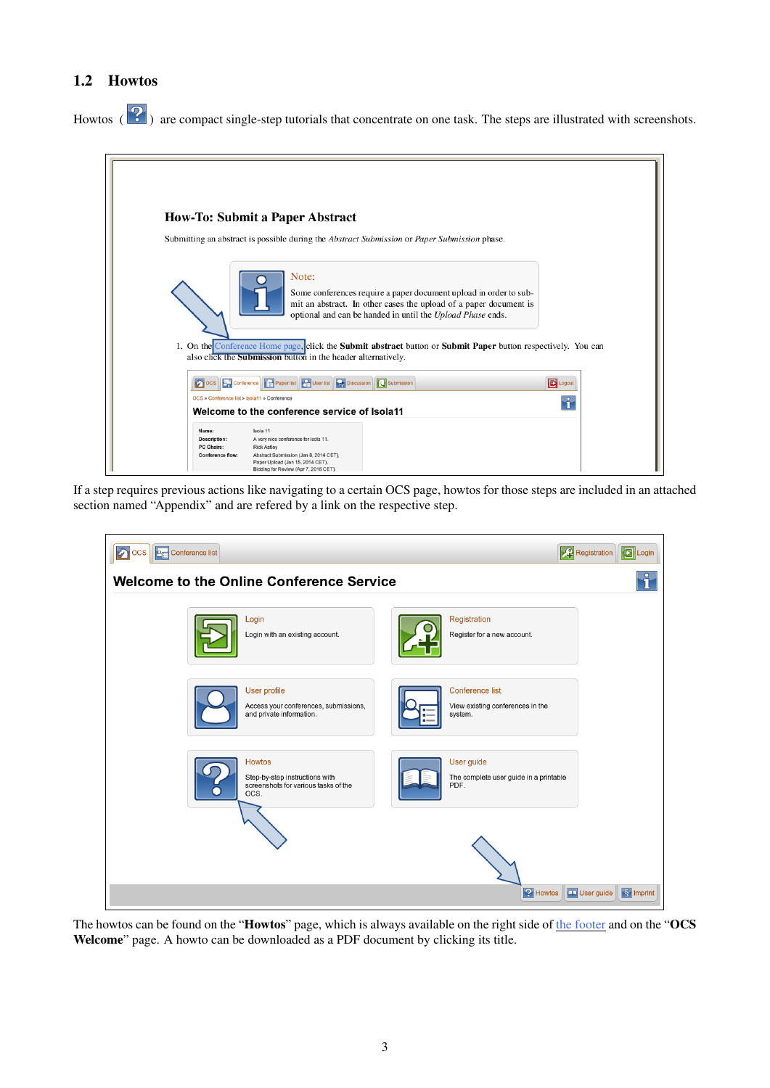## 1.2 Howtos

Howtos  $\left( \frac{1}{2} \right)$  are compact single-step tutorials that concentrate on one task. The steps are illustrated with screenshots.



If a step requires previous actions like navigating to a certain OCS page, howtos for those steps are included in an attached section named "Appendix" and are refered by a link on the respective step.



The howtos can be found on the "Howtos" page, which is always available on the right side of [the footer](#page-0-0) and on the "OCS Welcome" page. A howto can be downloaded as a PDF document by clicking its title.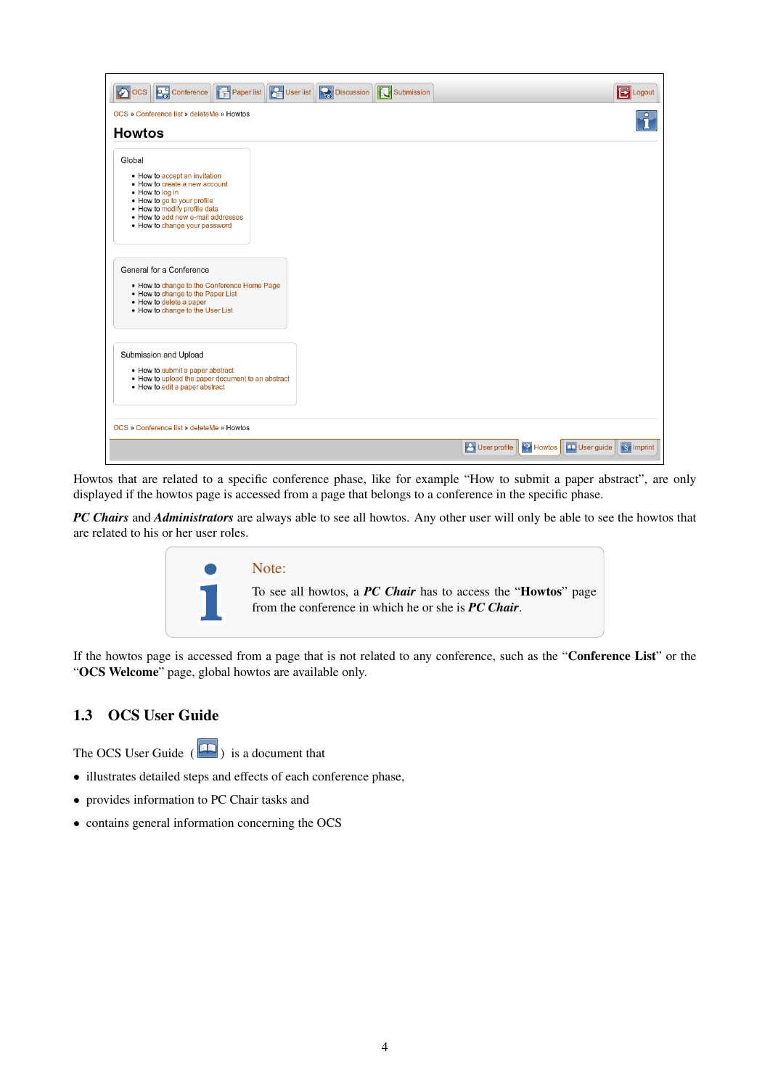| OCS Conference <b>PE</b> Paper list <b>PE</b> User list<br><b>Discussion T</b> U Submission<br><b>P</b> Logout                                                                                                         |
|------------------------------------------------------------------------------------------------------------------------------------------------------------------------------------------------------------------------|
| OCS » Conference list » deleteMe » Howtos                                                                                                                                                                              |
| <b>Howtos</b>                                                                                                                                                                                                          |
| Global                                                                                                                                                                                                                 |
| • How to accept an invitation<br>• How to create a new account<br>• How to log in<br>• How to go to your profile<br>. How to modify profile data<br>. How to add new e-mail addresses<br>. How to change your password |
| General for a Conference<br>. How to change to the Conference Home Page<br>. How to change to the Paper List<br>• How to delete a paper<br>. How to change to the User List                                            |
| Submission and Upload<br>• How to submit a paper abstract<br>• How to upload the paper document to an abstract<br>• How to edit a paper abstract                                                                       |
| OCS » Conference list » deleteMe » Howtos                                                                                                                                                                              |
| User guide<br>$\sqrt{\S}$ Imprint<br><b>B</b> User profile<br><b>2</b> Howtos                                                                                                                                          |

Howtos that are related to a specific conference phase, like for example "How to submit a paper abstract", are only displayed if the howtos page is accessed from a page that belongs to a conference in the specific phase.

*PC Chairs* and *Administrators* are always able to see all howtos. Any other user will only be able to see the howtos that are related to his or her user roles.



If the howtos page is accessed from a page that is not related to any conference, such as the "Conference List" or the "OCS Welcome" page, global howtos are available only.

## 1.3 OCS User Guide

The OCS User Guide  $\left( \blacksquare \right)$  is a document that

- illustrates detailed steps and effects of each conference phase,
- provides information to PC Chair tasks and
- contains general information concerning the OCS